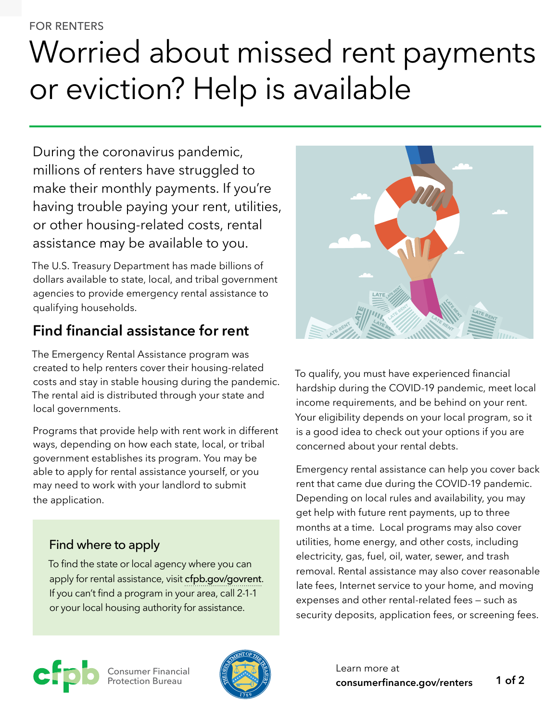#### FOR RENTERS

# Worried about missed rent payments or eviction? Help is available

During the coronavirus pandemic, millions of renters have struggled to make their monthly payments. If you're having trouble paying your rent, utilities, or other housing-related costs, rental assistance may be available to you.

The U.S. Treasury Department has made billions of dollars available to state, local, and tribal government agencies to provide emergency rental assistance to qualifying households.

## **Find financial assistance for rent**

The Emergency Rental Assistance program was created to help renters cover their housing-related costs and stay in stable housing during the pandemic. The rental aid is distributed through your state and local governments.

Programs that provide help with rent work in different ways, depending on how each state, local, or tribal government establishes its program. You may be able to apply for rental assistance yourself, or you may need to work with your landlord to submit the application.

#### Find where to apply

To find the state or local agency where you can apply for rental assistance, visit [cfpb.gov/govrent](http://cfpb.gov/govrent). If you can't find a program in your area, call 2-1-1 or your local housing authority for assistance.



To qualify, you must have experienced financial hardship during the COVID-19 pandemic, meet local income requirements, and be behind on your rent. Your eligibility depends on your local program, so it is a good idea to check out your options if you are concerned about your rental debts.

Emergency rental assistance can help you cover back rent that came due during the COVID-19 pandemic. Depending on local rules and availability, you may get help with future rent payments, up to three months at a time. Local programs may also cover utilities, home energy, and other costs, including electricity, gas, fuel, oil, water, sewer, and trash removal. Rental assistance may also cover reasonable late fees, Internet service to your home, and moving expenses and other rental-related fees — such as security deposits, application fees, or screening fees.



Consumer Financial Protection Bureau